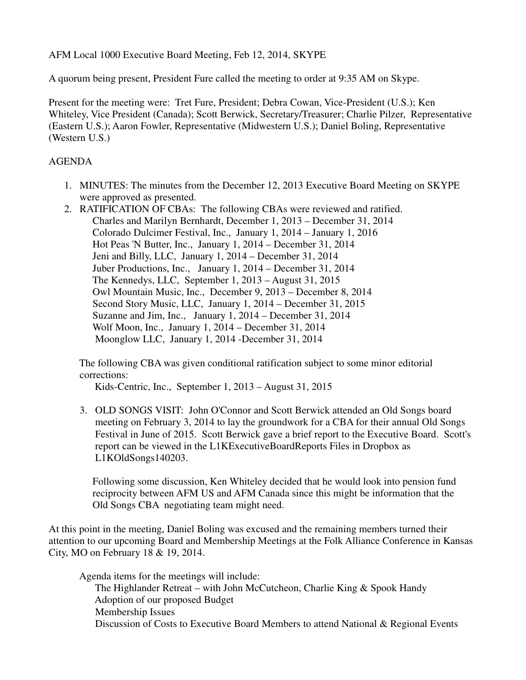AFM Local 1000 Executive Board Meeting, Feb 12, 2014, SKYPE

A quorum being present, President Fure called the meeting to order at 9:35 AM on Skype.

Present for the meeting were: Tret Fure, President; Debra Cowan, Vice-President (U.S.); Ken Whiteley, Vice President (Canada); Scott Berwick, Secretary/Treasurer; Charlie Pilzer, Representative (Eastern U.S.); Aaron Fowler, Representative (Midwestern U.S.); Daniel Boling, Representative (Western U.S.)

## AGENDA

- 1. MINUTES: The minutes from the December 12, 2013 Executive Board Meeting on SKYPE were approved as presented.
- 2. RATIFICATION OF CBAs: The following CBAs were reviewed and ratified. Charles and Marilyn Bernhardt, December 1, 2013 – December 31, 2014 Colorado Dulcimer Festival, Inc., January 1, 2014 – January 1, 2016 Hot Peas 'N Butter, Inc., January 1, 2014 – December 31, 2014 Jeni and Billy, LLC, January 1, 2014 – December 31, 2014 Juber Productions, Inc., January 1, 2014 – December 31, 2014 The Kennedys, LLC, September 1, 2013 – August 31, 2015 Owl Mountain Music, Inc., December 9, 2013 – December 8, 2014 Second Story Music, LLC, January 1, 2014 – December 31, 2015 Suzanne and Jim, Inc., January 1, 2014 – December 31, 2014 Wolf Moon, Inc., January 1, 2014 – December 31, 2014 Moonglow LLC, January 1, 2014 -December 31, 2014

The following CBA was given conditional ratification subject to some minor editorial corrections:

Kids-Centric, Inc., September 1, 2013 – August 31, 2015

3. OLD SONGS VISIT: John O'Connor and Scott Berwick attended an Old Songs board meeting on February 3, 2014 to lay the groundwork for a CBA for their annual Old Songs Festival in June of 2015. Scott Berwick gave a brief report to the Executive Board. Scott's report can be viewed in the L1KExecutiveBoardReports Files in Dropbox as L1KOldSongs140203.

 Following some discussion, Ken Whiteley decided that he would look into pension fund reciprocity between AFM US and AFM Canada since this might be information that the Old Songs CBA negotiating team might need.

At this point in the meeting, Daniel Boling was excused and the remaining members turned their attention to our upcoming Board and Membership Meetings at the Folk Alliance Conference in Kansas City, MO on February 18 & 19, 2014.

 Agenda items for the meetings will include: The Highlander Retreat – with John McCutcheon, Charlie King & Spook Handy Adoption of our proposed Budget Membership Issues Discussion of Costs to Executive Board Members to attend National & Regional Events